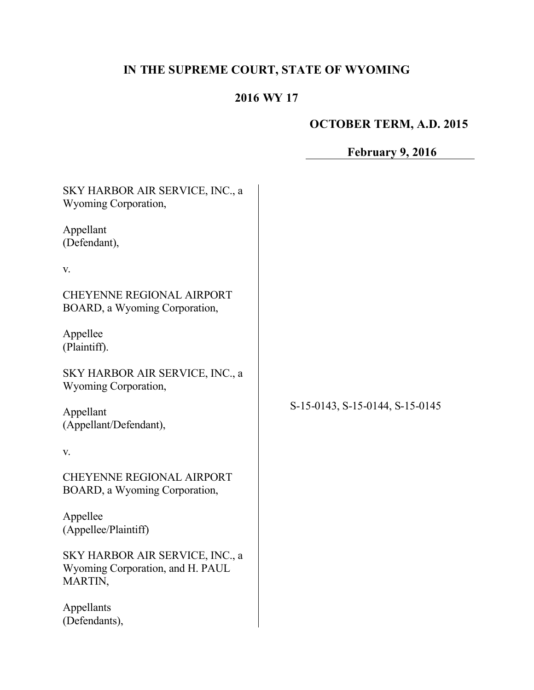## **IN THE SUPREME COURT, STATE OF WYOMING**

## **2016 WY 17**

## **OCTOBER TERM, A.D. 2015**

# **February 9, 2016**

| SKY HARBOR AIR SERVICE, INC., a<br>Wyoming Corporation,                        |                                 |
|--------------------------------------------------------------------------------|---------------------------------|
| Appellant<br>(Defendant),                                                      |                                 |
| V.                                                                             |                                 |
| <b>CHEYENNE REGIONAL AIRPORT</b><br>BOARD, a Wyoming Corporation,              |                                 |
| Appellee<br>(Plaintiff).                                                       |                                 |
| SKY HARBOR AIR SERVICE, INC., a<br>Wyoming Corporation,                        | S-15-0143, S-15-0144, S-15-0145 |
| Appellant<br>(Appellant/Defendant),                                            |                                 |
| V.                                                                             |                                 |
| <b>CHEYENNE REGIONAL AIRPORT</b><br>BOARD, a Wyoming Corporation,              |                                 |
| Appellee<br>(Appellee/Plaintiff)                                               |                                 |
| SKY HARBOR AIR SERVICE, INC., a<br>Wyoming Corporation, and H. PAUL<br>MARTIN, |                                 |
| Appellants<br>(Defendants),                                                    |                                 |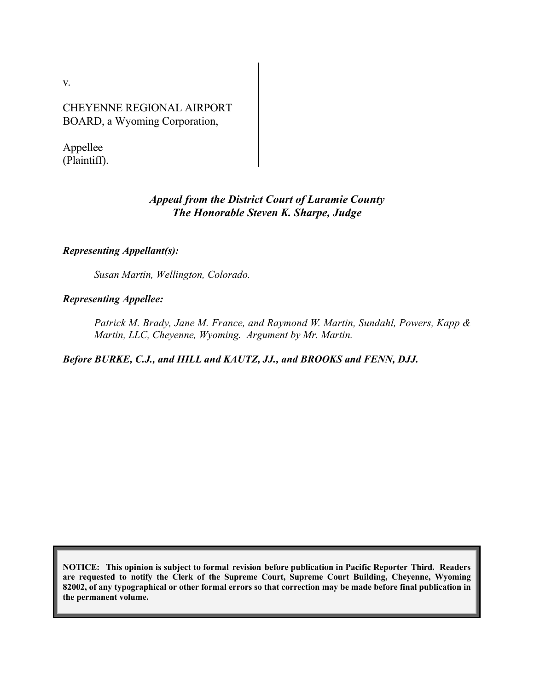v.

CHEYENNE REGIONAL AIRPORT BOARD, a Wyoming Corporation,

Appellee (Plaintiff).

## *Appeal from the District Court of Laramie County The Honorable Steven K. Sharpe, Judge*

#### *Representing Appellant(s):*

*Susan Martin, Wellington, Colorado.*

#### *Representing Appellee:*

*Patrick M. Brady, Jane M. France, and Raymond W. Martin, Sundahl, Powers, Kapp & Martin, LLC, Cheyenne, Wyoming. Argument by Mr. Martin.*

*Before BURKE, C.J., and HILL and KAUTZ, JJ., and BROOKS and FENN, DJJ.*

**NOTICE: This opinion is subject to formal revision before publication in Pacific Reporter Third. Readers are requested to notify the Clerk of the Supreme Court, Supreme Court Building, Cheyenne, Wyoming 82002, of any typographical or other formal errors so that correction may be made before final publication in the permanent volume.**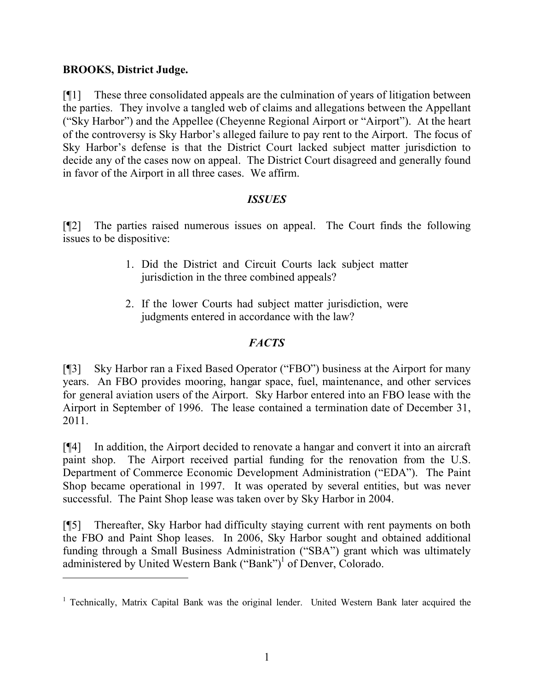## **BROOKS, District Judge.**

 $\overline{a}$ 

[¶1] These three consolidated appeals are the culmination of years of litigation between the parties. They involve a tangled web of claims and allegations between the Appellant ("Sky Harbor") and the Appellee (Cheyenne Regional Airport or "Airport"). At the heart of the controversy is Sky Harbor's alleged failure to pay rent to the Airport. The focus of Sky Harbor's defense is that the District Court lacked subject matter jurisdiction to decide any of the cases now on appeal. The District Court disagreed and generally found in favor of the Airport in all three cases. We affirm.

## *ISSUES*

[¶2] The parties raised numerous issues on appeal. The Court finds the following issues to be dispositive:

- 1. Did the District and Circuit Courts lack subject matter jurisdiction in the three combined appeals?
- 2. If the lower Courts had subject matter jurisdiction, were judgments entered in accordance with the law?

## *FACTS*

[¶3] Sky Harbor ran a Fixed Based Operator ("FBO") business at the Airport for many years. An FBO provides mooring, hangar space, fuel, maintenance, and other services for general aviation users of the Airport. Sky Harbor entered into an FBO lease with the Airport in September of 1996. The lease contained a termination date of December 31, 2011.

[¶4] In addition, the Airport decided to renovate a hangar and convert it into an aircraft paint shop. The Airport received partial funding for the renovation from the U.S. Department of Commerce Economic Development Administration ("EDA"). The Paint Shop became operational in 1997. It was operated by several entities, but was never successful. The Paint Shop lease was taken over by Sky Harbor in 2004.

[¶5] Thereafter, Sky Harbor had difficulty staying current with rent payments on both the FBO and Paint Shop leases. In 2006, Sky Harbor sought and obtained additional funding through a Small Business Administration ("SBA") grant which was ultimately administered by United Western Bank ("Bank")<sup>1</sup> of Denver, Colorado.

<sup>&</sup>lt;sup>1</sup> Technically, Matrix Capital Bank was the original lender. United Western Bank later acquired the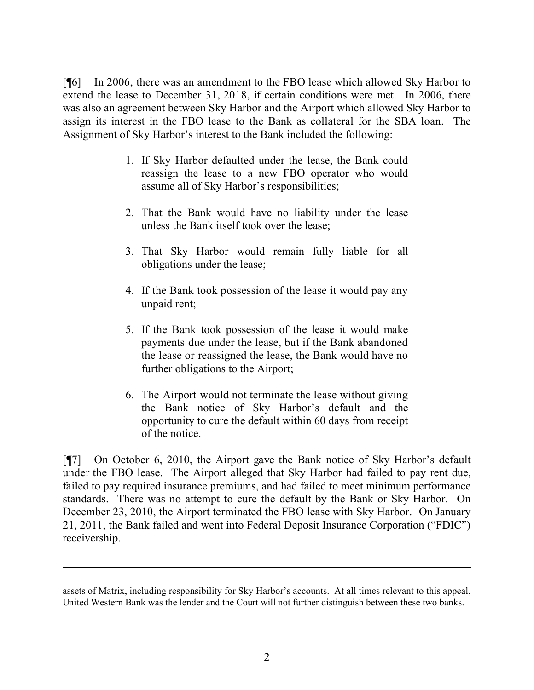[¶6] In 2006, there was an amendment to the FBO lease which allowed Sky Harbor to extend the lease to December 31, 2018, if certain conditions were met. In 2006, there was also an agreement between Sky Harbor and the Airport which allowed Sky Harbor to assign its interest in the FBO lease to the Bank as collateral for the SBA loan. The Assignment of Sky Harbor's interest to the Bank included the following:

- 1. If Sky Harbor defaulted under the lease, the Bank could reassign the lease to a new FBO operator who would assume all of Sky Harbor's responsibilities;
- 2. That the Bank would have no liability under the lease unless the Bank itself took over the lease;
- 3. That Sky Harbor would remain fully liable for all obligations under the lease;
- 4. If the Bank took possession of the lease it would pay any unpaid rent;
- 5. If the Bank took possession of the lease it would make payments due under the lease, but if the Bank abandoned the lease or reassigned the lease, the Bank would have no further obligations to the Airport;
- 6. The Airport would not terminate the lease without giving the Bank notice of Sky Harbor's default and the opportunity to cure the default within 60 days from receipt of the notice.

[¶7] On October 6, 2010, the Airport gave the Bank notice of Sky Harbor's default under the FBO lease. The Airport alleged that Sky Harbor had failed to pay rent due, failed to pay required insurance premiums, and had failed to meet minimum performance standards. There was no attempt to cure the default by the Bank or Sky Harbor. On December 23, 2010, the Airport terminated the FBO lease with Sky Harbor. On January 21, 2011, the Bank failed and went into Federal Deposit Insurance Corporation ("FDIC") receivership.

assets of Matrix, including responsibility for Sky Harbor's accounts. At all times relevant to this appeal, United Western Bank was the lender and the Court will not further distinguish between these two banks.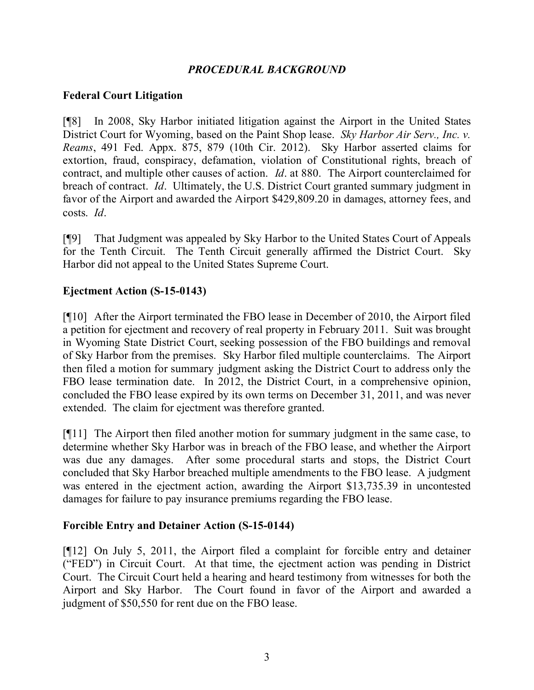## *PROCEDURAL BACKGROUND*

#### **Federal Court Litigation**

[¶8] In 2008, Sky Harbor initiated litigation against the Airport in the United States District Court for Wyoming, based on the Paint Shop lease. *Sky Harbor Air Serv., Inc. v. Reams*, 491 Fed. Appx. 875, 879 (10th Cir. 2012). Sky Harbor asserted claims for extortion, fraud, conspiracy, defamation, violation of Constitutional rights, breach of contract, and multiple other causes of action. *Id*. at 880. The Airport counterclaimed for breach of contract. *Id*. Ultimately, the U.S. District Court granted summary judgment in favor of the Airport and awarded the Airport \$429,809.20 in damages, attorney fees, and costs. *Id*.

[¶9] That Judgment was appealed by Sky Harbor to the United States Court of Appeals for the Tenth Circuit. The Tenth Circuit generally affirmed the District Court. Sky Harbor did not appeal to the United States Supreme Court.

#### **Ejectment Action (S-15-0143)**

[¶10] After the Airport terminated the FBO lease in December of 2010, the Airport filed a petition for ejectment and recovery of real property in February 2011. Suit was brought in Wyoming State District Court, seeking possession of the FBO buildings and removal of Sky Harbor from the premises. Sky Harbor filed multiple counterclaims. The Airport then filed a motion for summary judgment asking the District Court to address only the FBO lease termination date. In 2012, the District Court, in a comprehensive opinion, concluded the FBO lease expired by its own terms on December 31, 2011, and was never extended. The claim for ejectment was therefore granted.

[¶11] The Airport then filed another motion for summary judgment in the same case, to determine whether Sky Harbor was in breach of the FBO lease, and whether the Airport was due any damages. After some procedural starts and stops, the District Court concluded that Sky Harbor breached multiple amendments to the FBO lease. A judgment was entered in the ejectment action, awarding the Airport \$13,735.39 in uncontested damages for failure to pay insurance premiums regarding the FBO lease.

#### **Forcible Entry and Detainer Action (S-15-0144)**

[¶12] On July 5, 2011, the Airport filed a complaint for forcible entry and detainer ("FED") in Circuit Court. At that time, the ejectment action was pending in District Court. The Circuit Court held a hearing and heard testimony from witnesses for both the Airport and Sky Harbor. The Court found in favor of the Airport and awarded a judgment of \$50,550 for rent due on the FBO lease.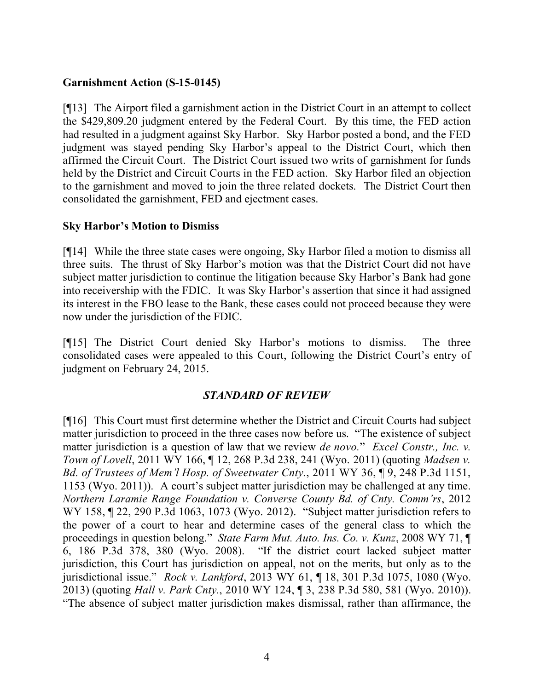## **Garnishment Action (S-15-0145)**

[¶13] The Airport filed a garnishment action in the District Court in an attempt to collect the \$429,809.20 judgment entered by the Federal Court. By this time, the FED action had resulted in a judgment against Sky Harbor. Sky Harbor posted a bond, and the FED judgment was stayed pending Sky Harbor's appeal to the District Court, which then affirmed the Circuit Court. The District Court issued two writs of garnishment for funds held by the District and Circuit Courts in the FED action. Sky Harbor filed an objection to the garnishment and moved to join the three related dockets. The District Court then consolidated the garnishment, FED and ejectment cases.

#### **Sky Harbor's Motion to Dismiss**

[¶14] While the three state cases were ongoing, Sky Harbor filed a motion to dismiss all three suits. The thrust of Sky Harbor's motion was that the District Court did not have subject matter jurisdiction to continue the litigation because Sky Harbor's Bank had gone into receivership with the FDIC. It was Sky Harbor's assertion that since it had assigned its interest in the FBO lease to the Bank, these cases could not proceed because they were now under the jurisdiction of the FDIC.

[¶15] The District Court denied Sky Harbor's motions to dismiss. The three consolidated cases were appealed to this Court, following the District Court's entry of judgment on February 24, 2015.

#### *STANDARD OF REVIEW*

[¶16] This Court must first determine whether the District and Circuit Courts had subject matter jurisdiction to proceed in the three cases now before us. "The existence of subject matter jurisdiction is a question of law that we review *de novo.*" *Excel Constr., Inc. v. Town of Lovell*, 2011 WY 166, ¶ 12, 268 P.3d 238, 241 (Wyo. 2011) (quoting *Madsen v. Bd. of Trustees of Mem'l Hosp. of Sweetwater Cnty.*, 2011 WY 36, ¶ 9, 248 P.3d 1151, 1153 (Wyo. 2011)). A court's subject matter jurisdiction may be challenged at any time. *Northern Laramie Range Foundation v. Converse County Bd. of Cnty. Comm'rs*, 2012 WY 158, ¶ 22, 290 P.3d 1063, 1073 (Wyo. 2012). "Subject matter jurisdiction refers to the power of a court to hear and determine cases of the general class to which the proceedings in question belong." *State Farm Mut. Auto. Ins. Co. v. Kunz*, 2008 WY 71, ¶ 6, 186 P.3d 378, 380 (Wyo. 2008). "If the district court lacked subject matter jurisdiction, this Court has jurisdiction on appeal, not on the merits, but only as to the jurisdictional issue." *Rock v. Lankford*, 2013 WY 61, ¶ 18, 301 P.3d 1075, 1080 (Wyo. 2013) (quoting *Hall v. Park Cnty.*, 2010 WY 124, ¶ 3, 238 P.3d 580, 581 (Wyo. 2010)). "The absence of subject matter jurisdiction makes dismissal, rather than affirmance, the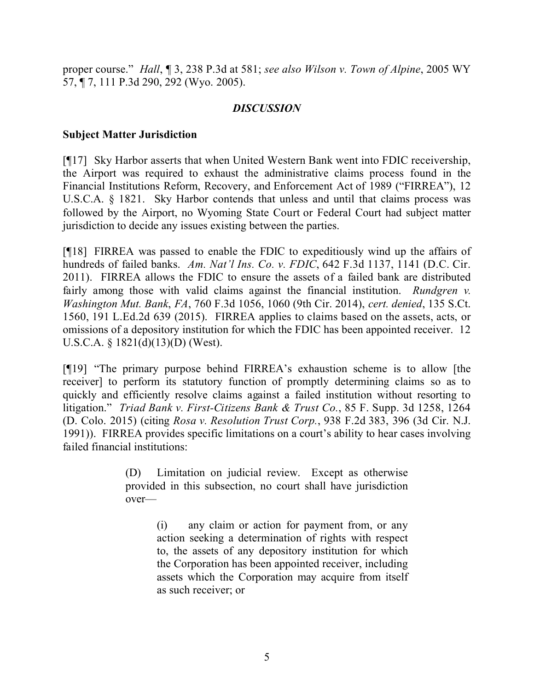proper course." *Hall*, ¶ 3, 238 P.3d at 581; *see also Wilson v. Town of Alpine*, 2005 WY 57, ¶ 7, 111 P.3d 290, 292 (Wyo. 2005).

## *DISCUSSION*

## **Subject Matter Jurisdiction**

[¶17] Sky Harbor asserts that when United Western Bank went into FDIC receivership, the Airport was required to exhaust the administrative claims process found in the Financial Institutions Reform, Recovery, and Enforcement Act of 1989 ("FIRREA"), 12 U.S.C.A. § 1821. Sky Harbor contends that unless and until that claims process was followed by the Airport, no Wyoming State Court or Federal Court had subject matter jurisdiction to decide any issues existing between the parties.

[¶18] FIRREA was passed to enable the FDIC to expeditiously wind up the affairs of hundreds of failed banks. *Am. Nat'l Ins. Co. v. FDIC*, 642 F.3d 1137, 1141 (D.C. Cir. 2011). FIRREA allows the FDIC to ensure the assets of a failed bank are distributed fairly among those with valid claims against the financial institution. *Rundgren v. Washington Mut. Bank*, *FA*, 760 F.3d 1056, 1060 (9th Cir. 2014), *cert. denied*, 135 S.Ct. 1560, 191 L.Ed.2d 639 (2015). FIRREA applies to claims based on the assets, acts, or omissions of a depository institution for which the FDIC has been appointed receiver. 12 U.S.C.A. § 1821(d)(13)(D) (West).

[¶19] "The primary purpose behind FIRREA's exhaustion scheme is to allow [the receiver] to perform its statutory function of promptly determining claims so as to quickly and efficiently resolve claims against a failed institution without resorting to litigation." *Triad Bank v. First-Citizens Bank & Trust Co.*, 85 F. Supp. 3d 1258, 1264 (D. Colo. 2015) (citing *Rosa v. Resolution Trust Corp.*, 938 F.2d 383, 396 (3d Cir. N.J. 1991)). FIRREA provides specific limitations on a court's ability to hear cases involving failed financial institutions:

> (D) Limitation on judicial review. Except as otherwise provided in this subsection, no court shall have jurisdiction over—

> > (i) any claim or action for payment from, or any action seeking a determination of rights with respect to, the assets of any depository institution for which the Corporation has been appointed receiver, including assets which the Corporation may acquire from itself as such receiver; or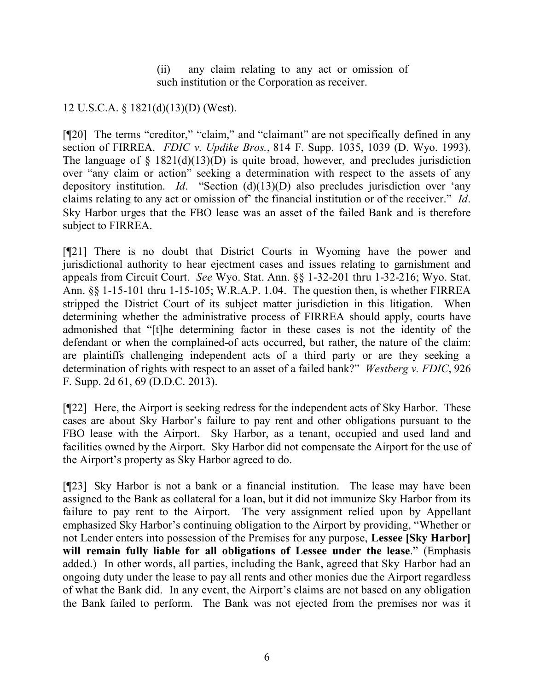(ii) any claim relating to any act or omission of such institution or the Corporation as receiver.

## 12 U.S.C.A. § 1821(d)(13)(D) (West).

[¶20] The terms "creditor," "claim," and "claimant" are not specifically defined in any section of FIRREA. *FDIC v. Updike Bros.*, 814 F. Supp. 1035, 1039 (D. Wyo. 1993). The language of  $\S$  1821(d)(13)(D) is quite broad, however, and precludes jurisdiction over "any claim or action" seeking a determination with respect to the assets of any depository institution. *Id*. "Section (d)(13)(D) also precludes jurisdiction over 'any claims relating to any act or omission of' the financial institution or of the receiver." *Id*. Sky Harbor urges that the FBO lease was an asset of the failed Bank and is therefore subject to FIRREA.

[¶21] There is no doubt that District Courts in Wyoming have the power and jurisdictional authority to hear ejectment cases and issues relating to garnishment and appeals from Circuit Court. *See* Wyo. Stat. Ann. §§ 1-32-201 thru 1-32-216; Wyo. Stat. Ann. §§ 1-15-101 thru 1-15-105; W.R.A.P. 1.04. The question then, is whether FIRREA stripped the District Court of its subject matter jurisdiction in this litigation. When determining whether the administrative process of FIRREA should apply, courts have admonished that "[t]he determining factor in these cases is not the identity of the defendant or when the complained-of acts occurred, but rather, the nature of the claim: are plaintiffs challenging independent acts of a third party or are they seeking a determination of rights with respect to an asset of a failed bank?" *Westberg v. FDIC*, 926 F. Supp. 2d 61, 69 (D.D.C. 2013).

[¶22] Here, the Airport is seeking redress for the independent acts of Sky Harbor. These cases are about Sky Harbor's failure to pay rent and other obligations pursuant to the FBO lease with the Airport. Sky Harbor, as a tenant, occupied and used land and facilities owned by the Airport. Sky Harbor did not compensate the Airport for the use of the Airport's property as Sky Harbor agreed to do.

[¶23] Sky Harbor is not a bank or a financial institution. The lease may have been assigned to the Bank as collateral for a loan, but it did not immunize Sky Harbor from its failure to pay rent to the Airport. The very assignment relied upon by Appellant emphasized Sky Harbor's continuing obligation to the Airport by providing, "Whether or not Lender enters into possession of the Premises for any purpose, **Lessee [Sky Harbor] will remain fully liable for all obligations of Lessee under the lease**." (Emphasis added.) In other words, all parties, including the Bank, agreed that Sky Harbor had an ongoing duty under the lease to pay all rents and other monies due the Airport regardless of what the Bank did. In any event, the Airport's claims are not based on any obligation the Bank failed to perform. The Bank was not ejected from the premises nor was it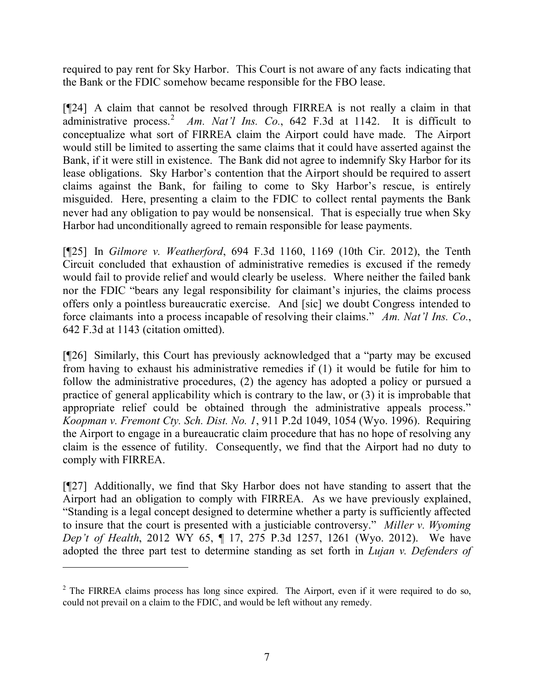required to pay rent for Sky Harbor. This Court is not aware of any facts indicating that the Bank or the FDIC somehow became responsible for the FBO lease.

[¶24] A claim that cannot be resolved through FIRREA is not really a claim in that administrative process.<sup>2</sup> Am. Nat'l Ins. Co., 642 F.3d at 1142. It is difficult to conceptualize what sort of FIRREA claim the Airport could have made. The Airport would still be limited to asserting the same claims that it could have asserted against the Bank, if it were still in existence. The Bank did not agree to indemnify Sky Harbor for its lease obligations. Sky Harbor's contention that the Airport should be required to assert claims against the Bank, for failing to come to Sky Harbor's rescue, is entirely misguided. Here, presenting a claim to the FDIC to collect rental payments the Bank never had any obligation to pay would be nonsensical. That is especially true when Sky Harbor had unconditionally agreed to remain responsible for lease payments.

[¶25] In *Gilmore v. Weatherford*, 694 F.3d 1160, 1169 (10th Cir. 2012), the Tenth Circuit concluded that exhaustion of administrative remedies is excused if the remedy would fail to provide relief and would clearly be useless. Where neither the failed bank nor the FDIC "bears any legal responsibility for claimant's injuries, the claims process offers only a pointless bureaucratic exercise. And [sic] we doubt Congress intended to force claimants into a process incapable of resolving their claims." *Am. Nat'l Ins. Co.*, 642 F.3d at 1143 (citation omitted).

[¶26] Similarly, this Court has previously acknowledged that a "party may be excused from having to exhaust his administrative remedies if (1) it would be futile for him to follow the administrative procedures, (2) the agency has adopted a policy or pursued a practice of general applicability which is contrary to the law, or (3) it is improbable that appropriate relief could be obtained through the administrative appeals process." *Koopman v. Fremont Cty. Sch. Dist. No. 1*, 911 P.2d 1049, 1054 (Wyo. 1996). Requiring the Airport to engage in a bureaucratic claim procedure that has no hope of resolving any claim is the essence of futility. Consequently, we find that the Airport had no duty to comply with FIRREA.

[¶27] Additionally, we find that Sky Harbor does not have standing to assert that the Airport had an obligation to comply with FIRREA. As we have previously explained, "Standing is a legal concept designed to determine whether a party is sufficiently affected to insure that the court is presented with a justiciable controversy." *Miller v. Wyoming Dep't of Health*, 2012 WY 65, ¶ 17, 275 P.3d 1257, 1261 (Wyo. 2012). We have adopted the three part test to determine standing as set forth in *Lujan v. Defenders of* 

 $2$  The FIRREA claims process has long since expired. The Airport, even if it were required to do so, could not prevail on a claim to the FDIC, and would be left without any remedy.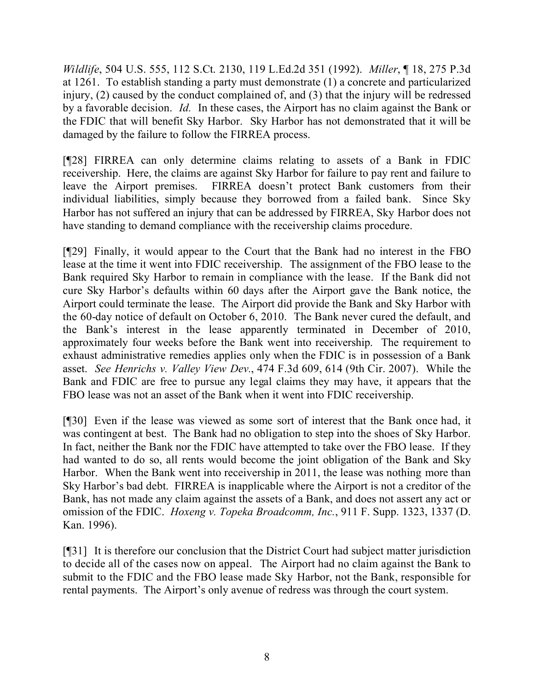*Wildlife*, 504 U.S. 555, 112 S.Ct. 2130, 119 L.Ed.2d 351 (1992). *Miller*, ¶ 18, 275 P.3d at 1261. To establish standing a party must demonstrate (1) a concrete and particularized injury, (2) caused by the conduct complained of, and (3) that the injury will be redressed by a favorable decision. *Id.* In these cases, the Airport has no claim against the Bank or the FDIC that will benefit Sky Harbor. Sky Harbor has not demonstrated that it will be damaged by the failure to follow the FIRREA process.

[¶28] FIRREA can only determine claims relating to assets of a Bank in FDIC receivership. Here, the claims are against Sky Harbor for failure to pay rent and failure to leave the Airport premises. FIRREA doesn't protect Bank customers from their individual liabilities, simply because they borrowed from a failed bank. Since Sky Harbor has not suffered an injury that can be addressed by FIRREA, Sky Harbor does not have standing to demand compliance with the receivership claims procedure.

[¶29] Finally, it would appear to the Court that the Bank had no interest in the FBO lease at the time it went into FDIC receivership. The assignment of the FBO lease to the Bank required Sky Harbor to remain in compliance with the lease. If the Bank did not cure Sky Harbor's defaults within 60 days after the Airport gave the Bank notice, the Airport could terminate the lease. The Airport did provide the Bank and Sky Harbor with the 60-day notice of default on October 6, 2010. The Bank never cured the default, and the Bank's interest in the lease apparently terminated in December of 2010, approximately four weeks before the Bank went into receivership. The requirement to exhaust administrative remedies applies only when the FDIC is in possession of a Bank asset. *See Henrichs v. Valley View Dev.*, 474 F.3d 609, 614 (9th Cir. 2007). While the Bank and FDIC are free to pursue any legal claims they may have, it appears that the FBO lease was not an asset of the Bank when it went into FDIC receivership.

[¶30] Even if the lease was viewed as some sort of interest that the Bank once had, it was contingent at best. The Bank had no obligation to step into the shoes of Sky Harbor. In fact, neither the Bank nor the FDIC have attempted to take over the FBO lease. If they had wanted to do so, all rents would become the joint obligation of the Bank and Sky Harbor. When the Bank went into receivership in 2011, the lease was nothing more than Sky Harbor's bad debt. FIRREA is inapplicable where the Airport is not a creditor of the Bank, has not made any claim against the assets of a Bank, and does not assert any act or omission of the FDIC. *Hoxeng v. Topeka Broadcomm, Inc.*, 911 F. Supp. 1323, 1337 (D. Kan. 1996).

[¶31] It is therefore our conclusion that the District Court had subject matter jurisdiction to decide all of the cases now on appeal. The Airport had no claim against the Bank to submit to the FDIC and the FBO lease made Sky Harbor, not the Bank, responsible for rental payments. The Airport's only avenue of redress was through the court system.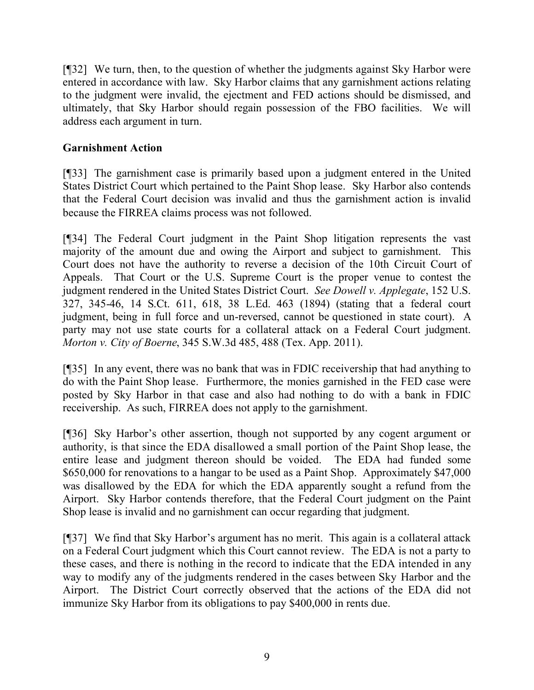[¶32] We turn, then, to the question of whether the judgments against Sky Harbor were entered in accordance with law. Sky Harbor claims that any garnishment actions relating to the judgment were invalid, the ejectment and FED actions should be dismissed, and ultimately, that Sky Harbor should regain possession of the FBO facilities. We will address each argument in turn.

#### **Garnishment Action**

[¶33] The garnishment case is primarily based upon a judgment entered in the United States District Court which pertained to the Paint Shop lease. Sky Harbor also contends that the Federal Court decision was invalid and thus the garnishment action is invalid because the FIRREA claims process was not followed.

[¶34] The Federal Court judgment in the Paint Shop litigation represents the vast majority of the amount due and owing the Airport and subject to garnishment. This Court does not have the authority to reverse a decision of the 10th Circuit Court of Appeals. That Court or the U.S. Supreme Court is the proper venue to contest the judgment rendered in the United States District Court. *See Dowell v. Applegate*, 152 U.S. 327, 345-46, 14 S.Ct. 611, 618, 38 L.Ed. 463 (1894) (stating that a federal court judgment, being in full force and un-reversed, cannot be questioned in state court). A party may not use state courts for a collateral attack on a Federal Court judgment. *Morton v. City of Boerne*, 345 S.W.3d 485, 488 (Tex. App. 2011).

[¶35] In any event, there was no bank that was in FDIC receivership that had anything to do with the Paint Shop lease. Furthermore, the monies garnished in the FED case were posted by Sky Harbor in that case and also had nothing to do with a bank in FDIC receivership. As such, FIRREA does not apply to the garnishment.

[¶36] Sky Harbor's other assertion, though not supported by any cogent argument or authority, is that since the EDA disallowed a small portion of the Paint Shop lease, the entire lease and judgment thereon should be voided. The EDA had funded some \$650,000 for renovations to a hangar to be used as a Paint Shop. Approximately \$47,000 was disallowed by the EDA for which the EDA apparently sought a refund from the Airport. Sky Harbor contends therefore, that the Federal Court judgment on the Paint Shop lease is invalid and no garnishment can occur regarding that judgment.

[¶37] We find that Sky Harbor's argument has no merit. This again is a collateral attack on a Federal Court judgment which this Court cannot review. The EDA is not a party to these cases, and there is nothing in the record to indicate that the EDA intended in any way to modify any of the judgments rendered in the cases between Sky Harbor and the Airport. The District Court correctly observed that the actions of the EDA did not immunize Sky Harbor from its obligations to pay \$400,000 in rents due.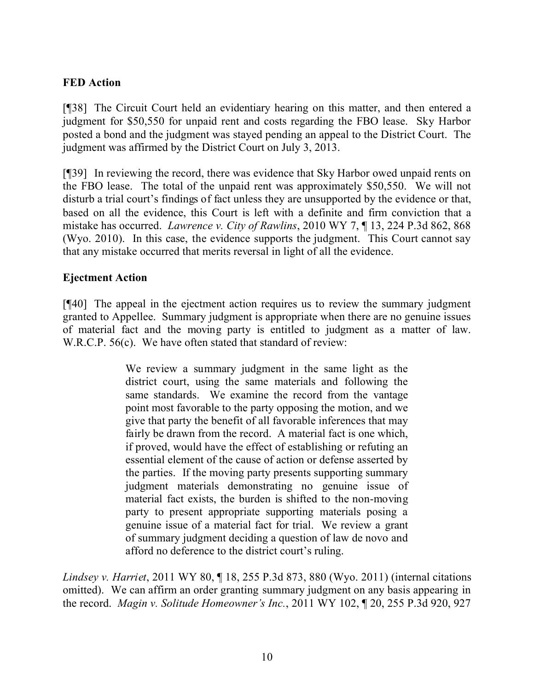## **FED Action**

[¶38] The Circuit Court held an evidentiary hearing on this matter, and then entered a judgment for \$50,550 for unpaid rent and costs regarding the FBO lease. Sky Harbor posted a bond and the judgment was stayed pending an appeal to the District Court. The judgment was affirmed by the District Court on July 3, 2013.

[¶39] In reviewing the record, there was evidence that Sky Harbor owed unpaid rents on the FBO lease. The total of the unpaid rent was approximately \$50,550. We will not disturb a trial court's findings of fact unless they are unsupported by the evidence or that, based on all the evidence, this Court is left with a definite and firm conviction that a mistake has occurred. *Lawrence v. City of Rawlins*, 2010 WY 7, ¶ 13, 224 P.3d 862, 868 (Wyo. 2010). In this case, the evidence supports the judgment. This Court cannot say that any mistake occurred that merits reversal in light of all the evidence.

#### **Ejectment Action**

[¶40] The appeal in the ejectment action requires us to review the summary judgment granted to Appellee. Summary judgment is appropriate when there are no genuine issues of material fact and the moving party is entitled to judgment as a matter of law. W.R.C.P. 56(c). We have often stated that standard of review:

> We review a summary judgment in the same light as the district court, using the same materials and following the same standards. We examine the record from the vantage point most favorable to the party opposing the motion, and we give that party the benefit of all favorable inferences that may fairly be drawn from the record. A material fact is one which, if proved, would have the effect of establishing or refuting an essential element of the cause of action or defense asserted by the parties. If the moving party presents supporting summary judgment materials demonstrating no genuine issue of material fact exists, the burden is shifted to the non-moving party to present appropriate supporting materials posing a genuine issue of a material fact for trial. We review a grant of summary judgment deciding a question of law de novo and afford no deference to the district court's ruling.

*Lindsey v. Harriet*, 2011 WY 80, ¶ 18, 255 P.3d 873, 880 (Wyo. 2011) (internal citations omitted). We can affirm an order granting summary judgment on any basis appearing in the record. *Magin v. Solitude Homeowner's Inc.*, 2011 WY 102, ¶ 20, 255 P.3d 920, 927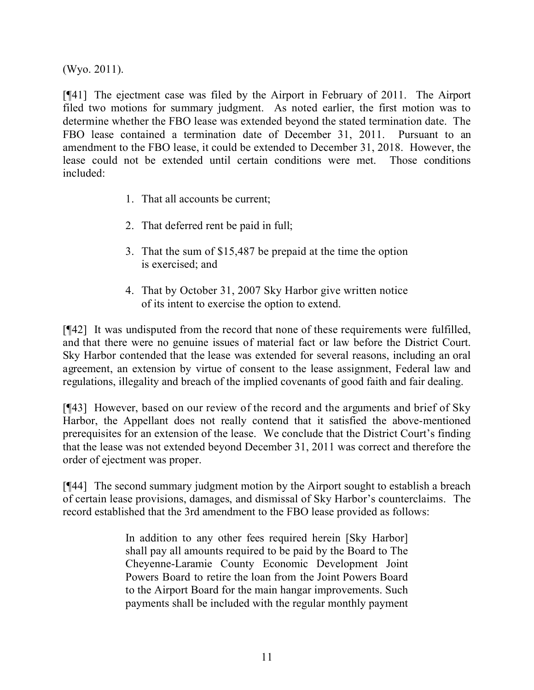(Wyo. 2011).

[¶41] The ejectment case was filed by the Airport in February of 2011. The Airport filed two motions for summary judgment. As noted earlier, the first motion was to determine whether the FBO lease was extended beyond the stated termination date. The FBO lease contained a termination date of December 31, 2011. Pursuant to an amendment to the FBO lease, it could be extended to December 31, 2018. However, the lease could not be extended until certain conditions were met. Those conditions included:

- 1. That all accounts be current;
- 2. That deferred rent be paid in full;
- 3. That the sum of \$15,487 be prepaid at the time the option is exercised; and
- 4. That by October 31, 2007 Sky Harbor give written notice of its intent to exercise the option to extend.

[¶42] It was undisputed from the record that none of these requirements were fulfilled, and that there were no genuine issues of material fact or law before the District Court. Sky Harbor contended that the lease was extended for several reasons, including an oral agreement, an extension by virtue of consent to the lease assignment, Federal law and regulations, illegality and breach of the implied covenants of good faith and fair dealing.

[¶43] However, based on our review of the record and the arguments and brief of Sky Harbor, the Appellant does not really contend that it satisfied the above-mentioned prerequisites for an extension of the lease. We conclude that the District Court's finding that the lease was not extended beyond December 31, 2011 was correct and therefore the order of ejectment was proper.

[¶44] The second summary judgment motion by the Airport sought to establish a breach of certain lease provisions, damages, and dismissal of Sky Harbor's counterclaims. The record established that the 3rd amendment to the FBO lease provided as follows:

> In addition to any other fees required herein [Sky Harbor] shall pay all amounts required to be paid by the Board to The Cheyenne-Laramie County Economic Development Joint Powers Board to retire the loan from the Joint Powers Board to the Airport Board for the main hangar improvements. Such payments shall be included with the regular monthly payment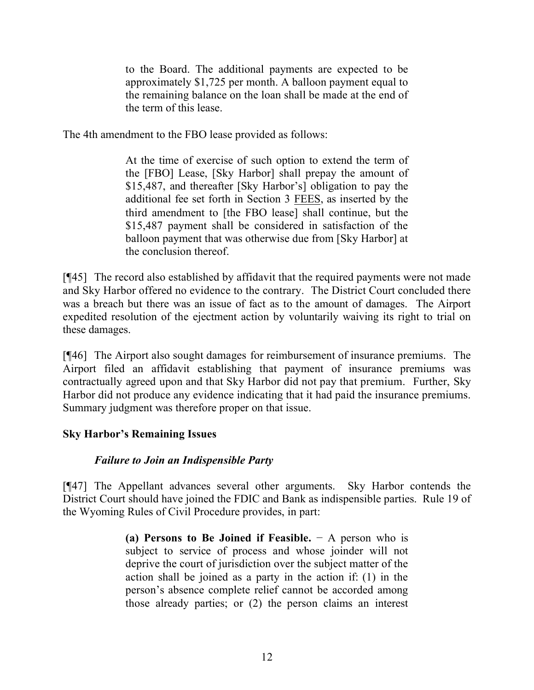to the Board. The additional payments are expected to be approximately \$1,725 per month. A balloon payment equal to the remaining balance on the loan shall be made at the end of the term of this lease.

The 4th amendment to the FBO lease provided as follows:

At the time of exercise of such option to extend the term of the [FBO] Lease, [Sky Harbor] shall prepay the amount of \$15,487, and thereafter [Sky Harbor's] obligation to pay the additional fee set forth in Section 3 FEES, as inserted by the third amendment to [the FBO lease] shall continue, but the \$15,487 payment shall be considered in satisfaction of the balloon payment that was otherwise due from [Sky Harbor] at the conclusion thereof.

[¶45] The record also established by affidavit that the required payments were not made and Sky Harbor offered no evidence to the contrary. The District Court concluded there was a breach but there was an issue of fact as to the amount of damages. The Airport expedited resolution of the ejectment action by voluntarily waiving its right to trial on these damages.

[¶46] The Airport also sought damages for reimbursement of insurance premiums. The Airport filed an affidavit establishing that payment of insurance premiums was contractually agreed upon and that Sky Harbor did not pay that premium. Further, Sky Harbor did not produce any evidence indicating that it had paid the insurance premiums. Summary judgment was therefore proper on that issue.

## **Sky Harbor's Remaining Issues**

## *Failure to Join an Indispensible Party*

[¶47] The Appellant advances several other arguments. Sky Harbor contends the District Court should have joined the FDIC and Bank as indispensible parties. Rule 19 of the Wyoming Rules of Civil Procedure provides, in part:

> **(a) Persons to Be Joined if Feasible.** − A person who is subject to service of process and whose joinder will not deprive the court of jurisdiction over the subject matter of the action shall be joined as a party in the action if: (1) in the person's absence complete relief cannot be accorded among those already parties; or (2) the person claims an interest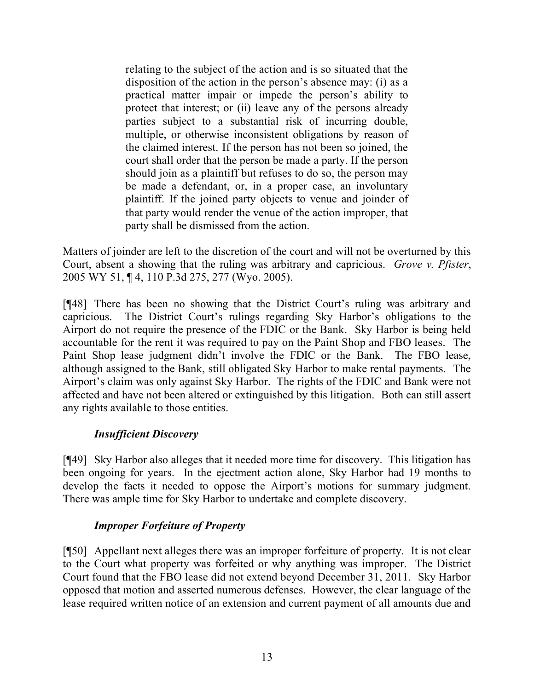relating to the subject of the action and is so situated that the disposition of the action in the person's absence may: (i) as a practical matter impair or impede the person's ability to protect that interest; or (ii) leave any of the persons already parties subject to a substantial risk of incurring double, multiple, or otherwise inconsistent obligations by reason of the claimed interest. If the person has not been so joined, the court shall order that the person be made a party. If the person should join as a plaintiff but refuses to do so, the person may be made a defendant, or, in a proper case, an involuntary plaintiff. If the joined party objects to venue and joinder of that party would render the venue of the action improper, that party shall be dismissed from the action.

Matters of joinder are left to the discretion of the court and will not be overturned by this Court, absent a showing that the ruling was arbitrary and capricious. *Grove v. Pfister*, 2005 WY 51, ¶ 4, 110 P.3d 275, 277 (Wyo. 2005).

[¶48] There has been no showing that the District Court's ruling was arbitrary and capricious. The District Court's rulings regarding Sky Harbor's obligations to the Airport do not require the presence of the FDIC or the Bank. Sky Harbor is being held accountable for the rent it was required to pay on the Paint Shop and FBO leases. The Paint Shop lease judgment didn't involve the FDIC or the Bank. The FBO lease, although assigned to the Bank, still obligated Sky Harbor to make rental payments. The Airport's claim was only against Sky Harbor. The rights of the FDIC and Bank were not affected and have not been altered or extinguished by this litigation. Both can still assert any rights available to those entities.

#### *Insufficient Discovery*

[¶49] Sky Harbor also alleges that it needed more time for discovery. This litigation has been ongoing for years. In the ejectment action alone, Sky Harbor had 19 months to develop the facts it needed to oppose the Airport's motions for summary judgment. There was ample time for Sky Harbor to undertake and complete discovery.

## *Improper Forfeiture of Property*

[¶50] Appellant next alleges there was an improper forfeiture of property. It is not clear to the Court what property was forfeited or why anything was improper. The District Court found that the FBO lease did not extend beyond December 31, 2011. Sky Harbor opposed that motion and asserted numerous defenses. However, the clear language of the lease required written notice of an extension and current payment of all amounts due and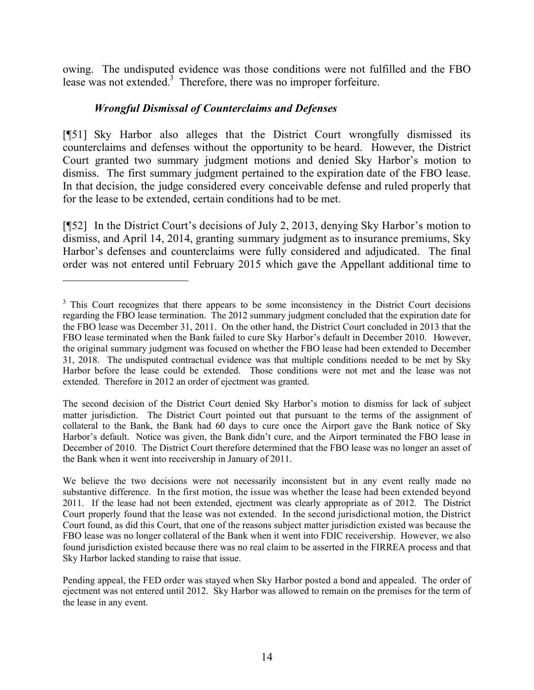owing. The undisputed evidence was those conditions were not fulfilled and the FBO lease was not extended.<sup>3</sup> Therefore, there was no improper forfeiture.

## *Wrongful Dismissal of Counterclaims and Defenses*

 $\overline{a}$ 

[¶51] Sky Harbor also alleges that the District Court wrongfully dismissed its counterclaims and defenses without the opportunity to be heard. However, the District Court granted two summary judgment motions and denied Sky Harbor's motion to dismiss. The first summary judgment pertained to the expiration date of the FBO lease. In that decision, the judge considered every conceivable defense and ruled properly that for the lease to be extended, certain conditions had to be met.

[¶52] In the District Court's decisions of July 2, 2013, denying Sky Harbor's motion to dismiss, and April 14, 2014, granting summary judgment as to insurance premiums, Sky Harbor's defenses and counterclaims were fully considered and adjudicated. The final order was not entered until February 2015 which gave the Appellant additional time to

<sup>&</sup>lt;sup>3</sup> This Court recognizes that there appears to be some inconsistency in the District Court decisions regarding the FBO lease termination. The 2012 summary judgment concluded that the expiration date for the FBO lease was December 31, 2011. On the other hand, the District Court concluded in 2013 that the FBO lease terminated when the Bank failed to cure Sky Harbor's default in December 2010. However, the original summary judgment was focused on whether the FBO lease had been extended to December 31, 2018. The undisputed contractual evidence was that multiple conditions needed to be met by Sky Harbor before the lease could be extended. Those conditions were not met and the lease was not extended. Therefore in 2012 an order of ejectment was granted.

The second decision of the District Court denied Sky Harbor's motion to dismiss for lack of subject matter jurisdiction. The District Court pointed out that pursuant to the terms of the assignment of collateral to the Bank, the Bank had 60 days to cure once the Airport gave the Bank notice of Sky Harbor's default. Notice was given, the Bank didn't cure, and the Airport terminated the FBO lease in December of 2010. The District Court therefore determined that the FBO lease was no longer an asset of the Bank when it went into receivership in January of 2011.

We believe the two decisions were not necessarily inconsistent but in any event really made no substantive difference. In the first motion, the issue was whether the lease had been extended beyond 2011. If the lease had not been extended, ejectment was clearly appropriate as of 2012. The District Court properly found that the lease was not extended. In the second jurisdictional motion, the District Court found, as did this Court, that one of the reasons subject matter jurisdiction existed was because the FBO lease was no longer collateral of the Bank when it went into FDIC receivership. However, we also found jurisdiction existed because there was no real claim to be asserted in the FIRREA process and that Sky Harbor lacked standing to raise that issue.

Pending appeal, the FED order was stayed when Sky Harbor posted a bond and appealed. The order of ejectment was not entered until 2012. Sky Harbor was allowed to remain on the premises for the term of the lease in any event.